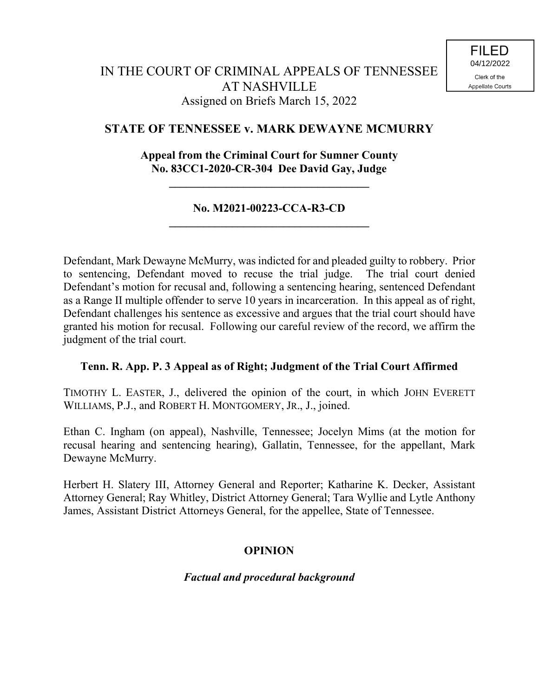# **STATE OF TENNESSEE v. MARK DEWAYNE MCMURRY**

## **Appeal from the Criminal Court for Sumner County No. 83CC1-2020-CR-304 Dee David Gay, Judge**

**\_\_\_\_\_\_\_\_\_\_\_\_\_\_\_\_\_\_\_\_\_\_\_\_\_\_\_\_\_\_\_\_\_\_\_**

## **No. M2021-00223-CCA-R3-CD \_\_\_\_\_\_\_\_\_\_\_\_\_\_\_\_\_\_\_\_\_\_\_\_\_\_\_\_\_\_\_\_\_\_\_**

Defendant, Mark Dewayne McMurry, was indicted for and pleaded guilty to robbery. Prior to sentencing, Defendant moved to recuse the trial judge. The trial court denied Defendant's motion for recusal and, following a sentencing hearing, sentenced Defendant as a Range II multiple offender to serve 10 years in incarceration. In this appeal as of right, Defendant challenges his sentence as excessive and argues that the trial court should have granted his motion for recusal. Following our careful review of the record, we affirm the judgment of the trial court.

### **Tenn. R. App. P. 3 Appeal as of Right; Judgment of the Trial Court Affirmed**

TIMOTHY L. EASTER, J., delivered the opinion of the court, in which JOHN EVERETT WILLIAMS, P.J., and ROBERT H. MONTGOMERY, JR., J., joined.

Ethan C. Ingham (on appeal), Nashville, Tennessee; Jocelyn Mims (at the motion for recusal hearing and sentencing hearing), Gallatin, Tennessee, for the appellant, Mark Dewayne McMurry.

Herbert H. Slatery III, Attorney General and Reporter; Katharine K. Decker, Assistant Attorney General; Ray Whitley, District Attorney General; Tara Wyllie and Lytle Anthony James, Assistant District Attorneys General, for the appellee, State of Tennessee.

## **OPINION**

### *Factual and procedural background*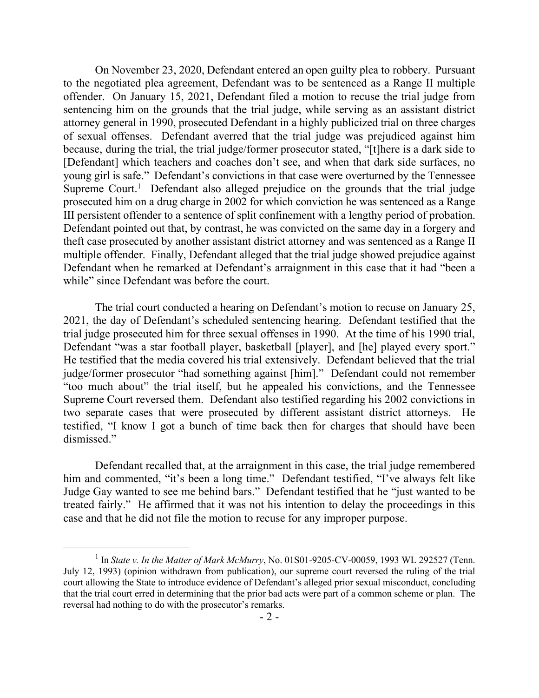On November 23, 2020, Defendant entered an open guilty plea to robbery. Pursuant to the negotiated plea agreement, Defendant was to be sentenced as a Range II multiple offender. On January 15, 2021, Defendant filed a motion to recuse the trial judge from sentencing him on the grounds that the trial judge, while serving as an assistant district attorney general in 1990, prosecuted Defendant in a highly publicized trial on three charges of sexual offenses. Defendant averred that the trial judge was prejudiced against him because, during the trial, the trial judge/former prosecutor stated, "[t]here is a dark side to [Defendant] which teachers and coaches don't see, and when that dark side surfaces, no young girl is safe." Defendant's convictions in that case were overturned by the Tennessee Supreme Court.<sup>1</sup> Defendant also alleged prejudice on the grounds that the trial judge prosecuted him on a drug charge in 2002 for which conviction he was sentenced as a Range III persistent offender to a sentence of split confinement with a lengthy period of probation. Defendant pointed out that, by contrast, he was convicted on the same day in a forgery and theft case prosecuted by another assistant district attorney and was sentenced as a Range II multiple offender. Finally, Defendant alleged that the trial judge showed prejudice against Defendant when he remarked at Defendant's arraignment in this case that it had "been a while" since Defendant was before the court.

The trial court conducted a hearing on Defendant's motion to recuse on January 25, 2021, the day of Defendant's scheduled sentencing hearing. Defendant testified that the trial judge prosecuted him for three sexual offenses in 1990. At the time of his 1990 trial, Defendant "was a star football player, basketball [player], and [he] played every sport." He testified that the media covered his trial extensively. Defendant believed that the trial judge/former prosecutor "had something against [him]." Defendant could not remember "too much about" the trial itself, but he appealed his convictions, and the Tennessee Supreme Court reversed them. Defendant also testified regarding his 2002 convictions in two separate cases that were prosecuted by different assistant district attorneys. He testified, "I know I got a bunch of time back then for charges that should have been dismissed."

Defendant recalled that, at the arraignment in this case, the trial judge remembered him and commented, "it's been a long time." Defendant testified, "I've always felt like Judge Gay wanted to see me behind bars." Defendant testified that he "just wanted to be treated fairly." He affirmed that it was not his intention to delay the proceedings in this case and that he did not file the motion to recuse for any improper purpose.

 $\overline{a}$ 

<sup>&</sup>lt;sup>1</sup> In *State v. In the Matter of Mark McMurry*, No. 01S01-9205-CV-00059, 1993 WL 292527 (Tenn. July 12, 1993) (opinion withdrawn from publication), our supreme court reversed the ruling of the trial court allowing the State to introduce evidence of Defendant's alleged prior sexual misconduct, concluding that the trial court erred in determining that the prior bad acts were part of a common scheme or plan. The reversal had nothing to do with the prosecutor's remarks.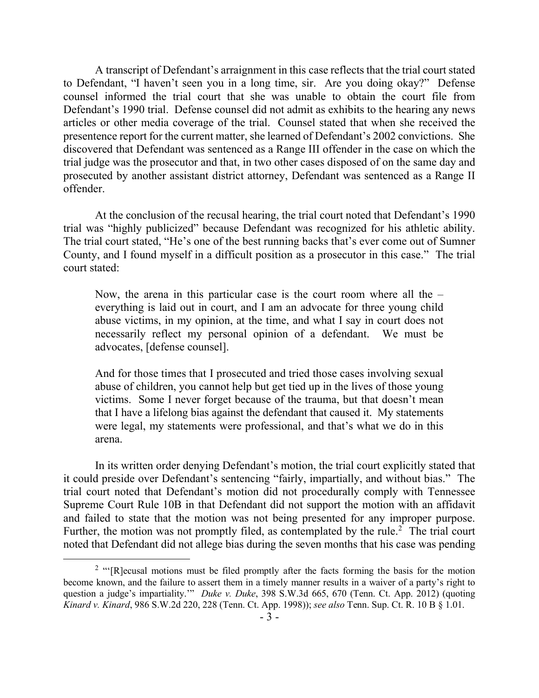A transcript of Defendant's arraignment in this case reflects that the trial court stated to Defendant, "I haven't seen you in a long time, sir. Are you doing okay?" Defense counsel informed the trial court that she was unable to obtain the court file from Defendant's 1990 trial. Defense counsel did not admit as exhibits to the hearing any news articles or other media coverage of the trial. Counsel stated that when she received the presentence report for the current matter, she learned of Defendant's 2002 convictions. She discovered that Defendant was sentenced as a Range III offender in the case on which the trial judge was the prosecutor and that, in two other cases disposed of on the same day and prosecuted by another assistant district attorney, Defendant was sentenced as a Range II offender.

At the conclusion of the recusal hearing, the trial court noted that Defendant's 1990 trial was "highly publicized" because Defendant was recognized for his athletic ability. The trial court stated, "He's one of the best running backs that's ever come out of Sumner County, and I found myself in a difficult position as a prosecutor in this case." The trial court stated:

Now, the arena in this particular case is the court room where all the – everything is laid out in court, and I am an advocate for three young child abuse victims, in my opinion, at the time, and what I say in court does not necessarily reflect my personal opinion of a defendant. We must be advocates, [defense counsel].

And for those times that I prosecuted and tried those cases involving sexual abuse of children, you cannot help but get tied up in the lives of those young victims. Some I never forget because of the trauma, but that doesn't mean that I have a lifelong bias against the defendant that caused it. My statements were legal, my statements were professional, and that's what we do in this arena.

In its written order denying Defendant's motion, the trial court explicitly stated that it could preside over Defendant's sentencing "fairly, impartially, and without bias." The trial court noted that Defendant's motion did not procedurally comply with Tennessee Supreme Court Rule 10B in that Defendant did not support the motion with an affidavit and failed to state that the motion was not being presented for any improper purpose. Further, the motion was not promptly filed, as contemplated by the rule.<sup>2</sup> The trial court noted that Defendant did not allege bias during the seven months that his case was pending

 $\overline{a}$ 

<sup>&</sup>lt;sup>2</sup> "'[R]ecusal motions must be filed promptly after the facts forming the basis for the motion become known, and the failure to assert them in a timely manner results in a waiver of a party's right to question a judge's impartiality.'" *Duke v. Duke*, 398 S.W.3d 665, 670 (Tenn. Ct. App. 2012) (quoting *Kinard v. Kinard*, 986 S.W.2d 220, 228 (Tenn. Ct. App. 1998)); *see also* Tenn. Sup. Ct. R. 10 B § 1.01.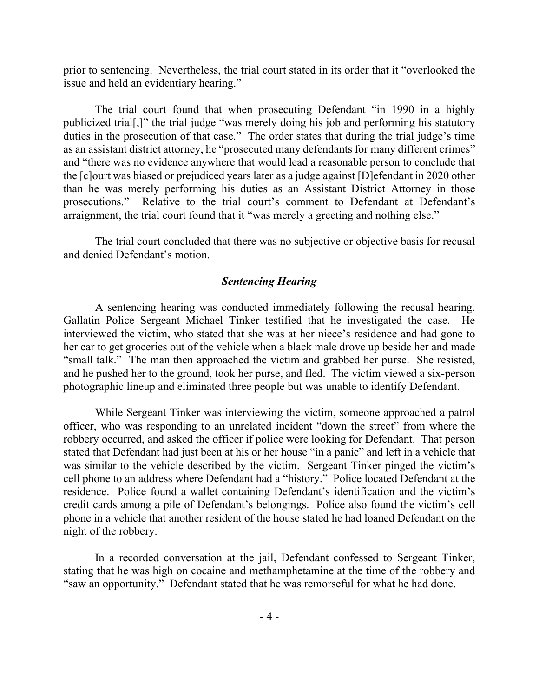prior to sentencing. Nevertheless, the trial court stated in its order that it "overlooked the issue and held an evidentiary hearing."

The trial court found that when prosecuting Defendant "in 1990 in a highly publicized trial[,]" the trial judge "was merely doing his job and performing his statutory duties in the prosecution of that case." The order states that during the trial judge's time as an assistant district attorney, he "prosecuted many defendants for many different crimes" and "there was no evidence anywhere that would lead a reasonable person to conclude that the [c]ourt was biased or prejudiced years later as a judge against [D]efendant in 2020 other than he was merely performing his duties as an Assistant District Attorney in those prosecutions." Relative to the trial court's comment to Defendant at Defendant's arraignment, the trial court found that it "was merely a greeting and nothing else."

The trial court concluded that there was no subjective or objective basis for recusal and denied Defendant's motion.

### *Sentencing Hearing*

A sentencing hearing was conducted immediately following the recusal hearing. Gallatin Police Sergeant Michael Tinker testified that he investigated the case. He interviewed the victim, who stated that she was at her niece's residence and had gone to her car to get groceries out of the vehicle when a black male drove up beside her and made "small talk." The man then approached the victim and grabbed her purse. She resisted, and he pushed her to the ground, took her purse, and fled. The victim viewed a six-person photographic lineup and eliminated three people but was unable to identify Defendant.

While Sergeant Tinker was interviewing the victim, someone approached a patrol officer, who was responding to an unrelated incident "down the street" from where the robbery occurred, and asked the officer if police were looking for Defendant. That person stated that Defendant had just been at his or her house "in a panic" and left in a vehicle that was similar to the vehicle described by the victim. Sergeant Tinker pinged the victim's cell phone to an address where Defendant had a "history." Police located Defendant at the residence. Police found a wallet containing Defendant's identification and the victim's credit cards among a pile of Defendant's belongings. Police also found the victim's cell phone in a vehicle that another resident of the house stated he had loaned Defendant on the night of the robbery.

In a recorded conversation at the jail, Defendant confessed to Sergeant Tinker, stating that he was high on cocaine and methamphetamine at the time of the robbery and "saw an opportunity." Defendant stated that he was remorseful for what he had done.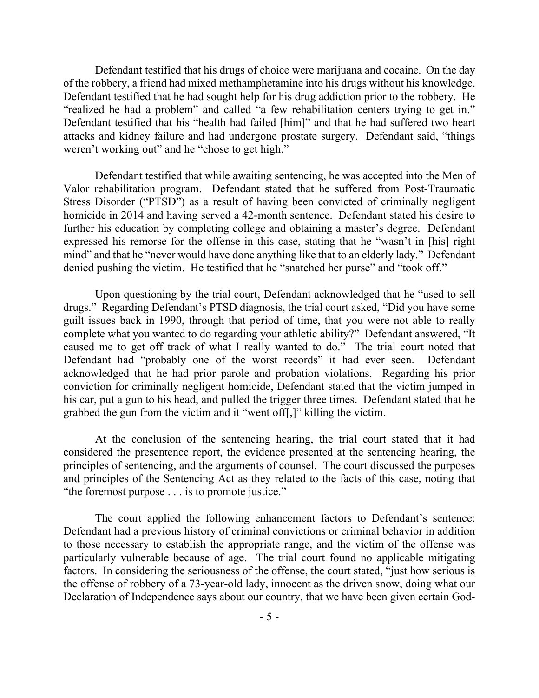Defendant testified that his drugs of choice were marijuana and cocaine. On the day of the robbery, a friend had mixed methamphetamine into his drugs without his knowledge. Defendant testified that he had sought help for his drug addiction prior to the robbery. He "realized he had a problem" and called "a few rehabilitation centers trying to get in." Defendant testified that his "health had failed [him]" and that he had suffered two heart attacks and kidney failure and had undergone prostate surgery. Defendant said, "things weren't working out" and he "chose to get high."

Defendant testified that while awaiting sentencing, he was accepted into the Men of Valor rehabilitation program. Defendant stated that he suffered from Post-Traumatic Stress Disorder ("PTSD") as a result of having been convicted of criminally negligent homicide in 2014 and having served a 42-month sentence. Defendant stated his desire to further his education by completing college and obtaining a master's degree. Defendant expressed his remorse for the offense in this case, stating that he "wasn't in [his] right mind" and that he "never would have done anything like that to an elderly lady." Defendant denied pushing the victim. He testified that he "snatched her purse" and "took off."

Upon questioning by the trial court, Defendant acknowledged that he "used to sell drugs." Regarding Defendant's PTSD diagnosis, the trial court asked, "Did you have some guilt issues back in 1990, through that period of time, that you were not able to really complete what you wanted to do regarding your athletic ability?" Defendant answered, "It caused me to get off track of what I really wanted to do." The trial court noted that Defendant had "probably one of the worst records" it had ever seen. Defendant acknowledged that he had prior parole and probation violations. Regarding his prior conviction for criminally negligent homicide, Defendant stated that the victim jumped in his car, put a gun to his head, and pulled the trigger three times. Defendant stated that he grabbed the gun from the victim and it "went off[,]" killing the victim.

At the conclusion of the sentencing hearing, the trial court stated that it had considered the presentence report, the evidence presented at the sentencing hearing, the principles of sentencing, and the arguments of counsel. The court discussed the purposes and principles of the Sentencing Act as they related to the facts of this case, noting that "the foremost purpose . . . is to promote justice."

The court applied the following enhancement factors to Defendant's sentence: Defendant had a previous history of criminal convictions or criminal behavior in addition to those necessary to establish the appropriate range, and the victim of the offense was particularly vulnerable because of age. The trial court found no applicable mitigating factors. In considering the seriousness of the offense, the court stated, "just how serious is the offense of robbery of a 73-year-old lady, innocent as the driven snow, doing what our Declaration of Independence says about our country, that we have been given certain God-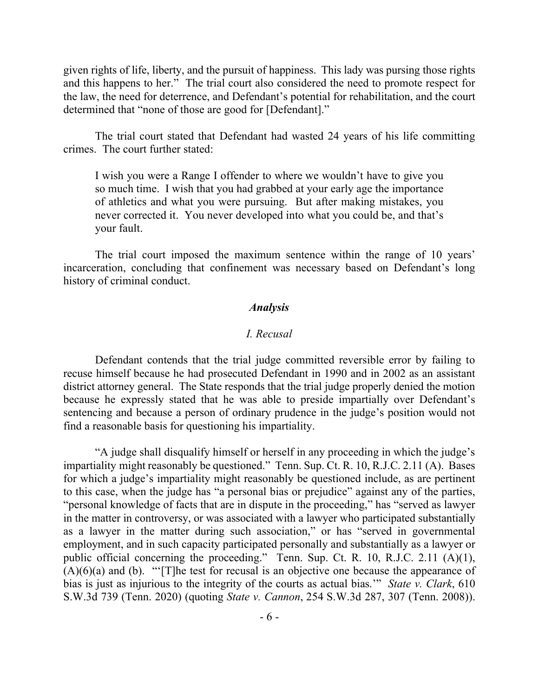given rights of life, liberty, and the pursuit of happiness. This lady was pursing those rights and this happens to her." The trial court also considered the need to promote respect for the law, the need for deterrence, and Defendant's potential for rehabilitation, and the court determined that "none of those are good for [Defendant]."

The trial court stated that Defendant had wasted 24 years of his life committing crimes. The court further stated:

I wish you were a Range I offender to where we wouldn't have to give you so much time. I wish that you had grabbed at your early age the importance of athletics and what you were pursuing. But after making mistakes, you never corrected it. You never developed into what you could be, and that's your fault.

The trial court imposed the maximum sentence within the range of 10 years' incarceration, concluding that confinement was necessary based on Defendant's long history of criminal conduct.

#### *Analysis*

#### *I. Recusal*

Defendant contends that the trial judge committed reversible error by failing to recuse himself because he had prosecuted Defendant in 1990 and in 2002 as an assistant district attorney general. The State responds that the trial judge properly denied the motion because he expressly stated that he was able to preside impartially over Defendant's sentencing and because a person of ordinary prudence in the judge's position would not find a reasonable basis for questioning his impartiality.

"A judge shall disqualify himself or herself in any proceeding in which the judge's impartiality might reasonably be questioned." Tenn. Sup. Ct. R. 10, R.J.C. 2.11 (A). Bases for which a judge's impartiality might reasonably be questioned include, as are pertinent to this case, when the judge has "a personal bias or prejudice" against any of the parties, "personal knowledge of facts that are in dispute in the proceeding," has "served as lawyer in the matter in controversy, or was associated with a lawyer who participated substantially as a lawyer in the matter during such association," or has "served in governmental employment, and in such capacity participated personally and substantially as a lawyer or public official concerning the proceeding." Tenn. Sup. Ct. R. 10, R.J.C. 2.11 (A)(1),  $(A)(6)(a)$  and (b). "'[T]he test for recusal is an objective one because the appearance of bias is just as injurious to the integrity of the courts as actual bias.'" *State v. Clark*, 610 S.W.3d 739 (Tenn. 2020) (quoting *State v. Cannon*, 254 S.W.3d 287, 307 (Tenn. 2008)).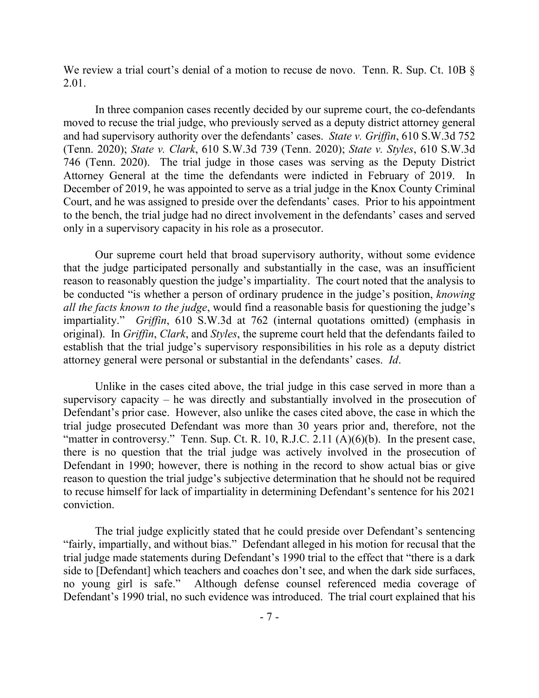We review a trial court's denial of a motion to recuse de novo. Tenn. R. Sup. Ct. 10B § 2.01.

In three companion cases recently decided by our supreme court, the co-defendants moved to recuse the trial judge, who previously served as a deputy district attorney general and had supervisory authority over the defendants' cases. *State v. Griffin*, 610 S.W.3d 752 (Tenn. 2020); *State v. Clark*, 610 S.W.3d 739 (Tenn. 2020); *State v. Styles*, 610 S.W.3d 746 (Tenn. 2020). The trial judge in those cases was serving as the Deputy District Attorney General at the time the defendants were indicted in February of 2019. In December of 2019, he was appointed to serve as a trial judge in the Knox County Criminal Court, and he was assigned to preside over the defendants' cases. Prior to his appointment to the bench, the trial judge had no direct involvement in the defendants' cases and served only in a supervisory capacity in his role as a prosecutor.

Our supreme court held that broad supervisory authority, without some evidence that the judge participated personally and substantially in the case, was an insufficient reason to reasonably question the judge's impartiality. The court noted that the analysis to be conducted "is whether a person of ordinary prudence in the judge's position, *knowing all the facts known to the judge*, would find a reasonable basis for questioning the judge's impartiality." *Griffin*, 610 S.W.3d at 762 (internal quotations omitted) (emphasis in original). In *Griffin*, *Clark*, and *Styles*, the supreme court held that the defendants failed to establish that the trial judge's supervisory responsibilities in his role as a deputy district attorney general were personal or substantial in the defendants' cases. *Id*.

Unlike in the cases cited above, the trial judge in this case served in more than a supervisory capacity – he was directly and substantially involved in the prosecution of Defendant's prior case. However, also unlike the cases cited above, the case in which the trial judge prosecuted Defendant was more than 30 years prior and, therefore, not the "matter in controversy." Tenn. Sup. Ct. R. 10, R.J.C. 2.11  $(A)(6)(b)$ . In the present case, there is no question that the trial judge was actively involved in the prosecution of Defendant in 1990; however, there is nothing in the record to show actual bias or give reason to question the trial judge's subjective determination that he should not be required to recuse himself for lack of impartiality in determining Defendant's sentence for his 2021 conviction.

The trial judge explicitly stated that he could preside over Defendant's sentencing "fairly, impartially, and without bias." Defendant alleged in his motion for recusal that the trial judge made statements during Defendant's 1990 trial to the effect that "there is a dark side to [Defendant] which teachers and coaches don't see, and when the dark side surfaces, no young girl is safe." Although defense counsel referenced media coverage of Defendant's 1990 trial, no such evidence was introduced. The trial court explained that his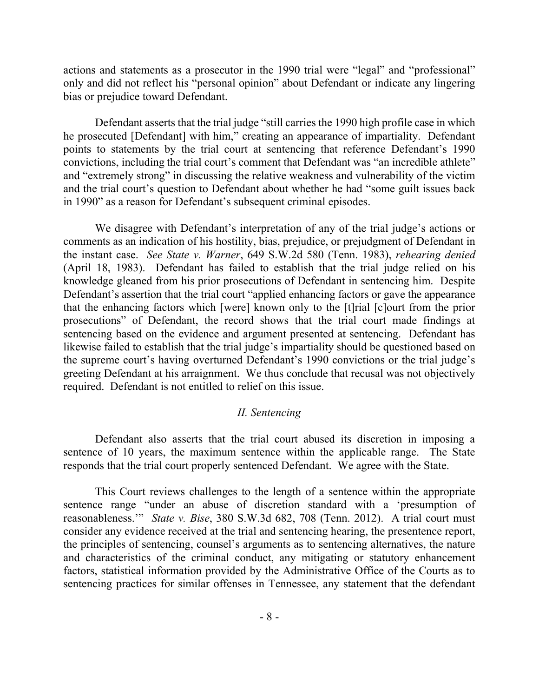actions and statements as a prosecutor in the 1990 trial were "legal" and "professional" only and did not reflect his "personal opinion" about Defendant or indicate any lingering bias or prejudice toward Defendant.

Defendant asserts that the trial judge "still carries the 1990 high profile case in which he prosecuted [Defendant] with him," creating an appearance of impartiality. Defendant points to statements by the trial court at sentencing that reference Defendant's 1990 convictions, including the trial court's comment that Defendant was "an incredible athlete" and "extremely strong" in discussing the relative weakness and vulnerability of the victim and the trial court's question to Defendant about whether he had "some guilt issues back in 1990" as a reason for Defendant's subsequent criminal episodes.

We disagree with Defendant's interpretation of any of the trial judge's actions or comments as an indication of his hostility, bias, prejudice, or prejudgment of Defendant in the instant case. *See State v. Warner*, 649 S.W.2d 580 (Tenn. 1983), *rehearing denied* (April 18, 1983). Defendant has failed to establish that the trial judge relied on his knowledge gleaned from his prior prosecutions of Defendant in sentencing him. Despite Defendant's assertion that the trial court "applied enhancing factors or gave the appearance that the enhancing factors which [were] known only to the [t]rial [c]ourt from the prior prosecutions" of Defendant, the record shows that the trial court made findings at sentencing based on the evidence and argument presented at sentencing. Defendant has likewise failed to establish that the trial judge's impartiality should be questioned based on the supreme court's having overturned Defendant's 1990 convictions or the trial judge's greeting Defendant at his arraignment. We thus conclude that recusal was not objectively required. Defendant is not entitled to relief on this issue.

#### *II. Sentencing*

Defendant also asserts that the trial court abused its discretion in imposing a sentence of 10 years, the maximum sentence within the applicable range. The State responds that the trial court properly sentenced Defendant. We agree with the State.

This Court reviews challenges to the length of a sentence within the appropriate sentence range "under an abuse of discretion standard with a 'presumption of reasonableness.'" *State v. Bise*, 380 S.W.3d 682, 708 (Tenn. 2012). A trial court must consider any evidence received at the trial and sentencing hearing, the presentence report, the principles of sentencing, counsel's arguments as to sentencing alternatives, the nature and characteristics of the criminal conduct, any mitigating or statutory enhancement factors, statistical information provided by the Administrative Office of the Courts as to sentencing practices for similar offenses in Tennessee, any statement that the defendant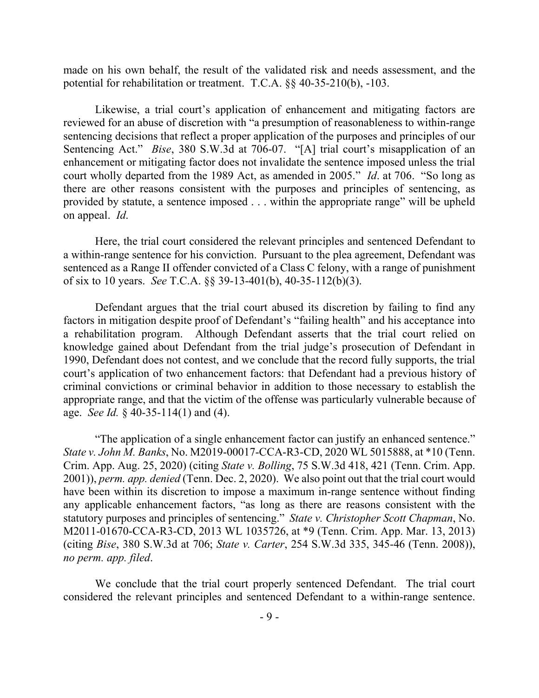made on his own behalf, the result of the validated risk and needs assessment, and the potential for rehabilitation or treatment. T.C.A. §§ 40-35-210(b), -103.

Likewise, a trial court's application of enhancement and mitigating factors are reviewed for an abuse of discretion with "a presumption of reasonableness to within-range sentencing decisions that reflect a proper application of the purposes and principles of our Sentencing Act." *Bise*, 380 S.W.3d at 706-07. "[A] trial court's misapplication of an enhancement or mitigating factor does not invalidate the sentence imposed unless the trial court wholly departed from the 1989 Act, as amended in 2005." *Id*. at 706. "So long as there are other reasons consistent with the purposes and principles of sentencing, as provided by statute, a sentence imposed . . . within the appropriate range" will be upheld on appeal. *Id*.

Here, the trial court considered the relevant principles and sentenced Defendant to a within-range sentence for his conviction. Pursuant to the plea agreement, Defendant was sentenced as a Range II offender convicted of a Class C felony, with a range of punishment of six to 10 years. *See* T.C.A. §§ 39-13-401(b), 40-35-112(b)(3).

Defendant argues that the trial court abused its discretion by failing to find any factors in mitigation despite proof of Defendant's "failing health" and his acceptance into a rehabilitation program. Although Defendant asserts that the trial court relied on knowledge gained about Defendant from the trial judge's prosecution of Defendant in 1990, Defendant does not contest, and we conclude that the record fully supports, the trial court's application of two enhancement factors: that Defendant had a previous history of criminal convictions or criminal behavior in addition to those necessary to establish the appropriate range, and that the victim of the offense was particularly vulnerable because of age. *See Id.* § 40-35-114(1) and (4).

"The application of a single enhancement factor can justify an enhanced sentence." *State v. John M. Banks*, No. M2019-00017-CCA-R3-CD, 2020 WL 5015888, at \*10 (Tenn. Crim. App. Aug. 25, 2020) (citing *State v. Bolling*, 75 S.W.3d 418, 421 (Tenn. Crim. App. 2001)), *perm. app. denied* (Tenn. Dec. 2, 2020). We also point out that the trial court would have been within its discretion to impose a maximum in-range sentence without finding any applicable enhancement factors, "as long as there are reasons consistent with the statutory purposes and principles of sentencing." *State v. Christopher Scott Chapman*, No. M2011-01670-CCA-R3-CD, 2013 WL 1035726, at \*9 (Tenn. Crim. App. Mar. 13, 2013) (citing *Bise*, 380 S.W.3d at 706; *State v. Carter*, 254 S.W.3d 335, 345-46 (Tenn. 2008)), *no perm. app. filed*.

We conclude that the trial court properly sentenced Defendant. The trial court considered the relevant principles and sentenced Defendant to a within-range sentence.